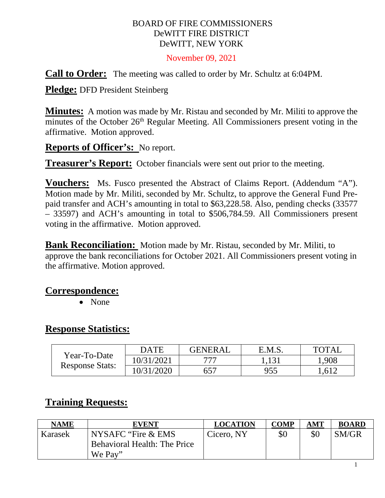#### BOARD OF FIRE COMMISSIONERS DeWITT FIRE DISTRICT DeWITT, NEW YORK

November 09, 2021

**Call to Order:** The meeting was called to order by Mr. Schultz at 6:04PM.

**Pledge:** DFD President Steinberg

**Minutes:** A motion was made by Mr. Ristau and seconded by Mr. Militi to approve the minutes of the October 26<sup>th</sup> Regular Meeting. All Commissioners present voting in the affirmative. Motion approved.

**Reports of Officer's:** No report.

**Treasurer's Report:** October financials were sent out prior to the meeting.

**Vouchers:** Ms. Fusco presented the Abstract of Claims Report. (Addendum "A"). Motion made by Mr. Militi, seconded by Mr. Schultz, to approve the General Fund Prepaid transfer and ACH's amounting in total to \$63,228.58. Also, pending checks (33577 – 33597) and ACH's amounting in total to \$506,784.59. All Commissioners present voting in the affirmative. Motion approved.

**Bank Reconciliation:** Motion made by Mr. Ristau, seconded by Mr. Militi, to approve the bank reconciliations for October 2021. All Commissioners present voting in the affirmative. Motion approved.

### **Correspondence:**

• None

### **Response Statistics:**

| Year-To-Date<br><b>Response Stats:</b> | <b>DATE</b> | <b>GENERAL</b> | E.M.S. | TOTAI |
|----------------------------------------|-------------|----------------|--------|-------|
|                                        | 10/31/2021  | ワワワ            | 1,131  | .908  |
|                                        | 10/31/2020  |                | 955    | -612  |

# **Training Requests:**

| <b>NAME</b> | <b>EVENT</b>                        | <b>LOCATION</b> | <b>COMP</b> | AMT | <b>BOARD</b> |
|-------------|-------------------------------------|-----------------|-------------|-----|--------------|
| Karasek     | NYSAFC "Fire & EMS                  | Cicero, NY      | \$0         | \$0 | SM/GR        |
|             | <b>Behavioral Health: The Price</b> |                 |             |     |              |
|             | We Pay"                             |                 |             |     |              |